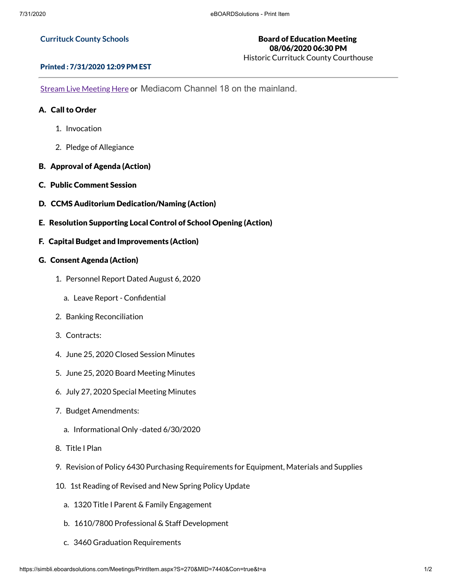### **Currituck County Schools**

# Board of Education Meeting 08/06/2020 06:30 PM

Historic Currituck County Courthouse

### Printed : 7/31/2020 12:09 PM EST

Stream Live [Meeting](http://currituckcountync.iqm2.com/Citizens/default.aspx) Here or Mediacom Channel 18 on the mainland.

## A. Call to Order

- 1. Invocation
- 2. Pledge of Allegiance
- B. Approval of Agenda (Action)
- C. Public Comment Session
- D. CCMS Auditorium Dedication/Naming (Action)
- E. Resolution Supporting Local Control of School Opening (Action)
- F. Capital Budget and Improvements (Action)

### G. Consent Agenda (Action)

- 1. Personnel Report Dated August 6, 2020
	- a. Leave Report Confidential
- 2. Banking Reconciliation
- 3. Contracts:
- 4. June 25, 2020 Closed Session Minutes
- 5. June 25, 2020 Board Meeting Minutes
- 6. July 27, 2020 Special Meeting Minutes
- 7. Budget Amendments:
	- a. Informational Only -dated 6/30/2020
- 8. Title I Plan
- 9. Revision of Policy 6430 Purchasing Requirements for Equipment, Materials and Supplies
- 10. 1st Reading of Revised and New Spring Policy Update
	- a. 1320 Title I Parent & Family Engagement
	- b. 1610/7800 Professional & Staff Development
	- c. 3460 Graduation Requirements